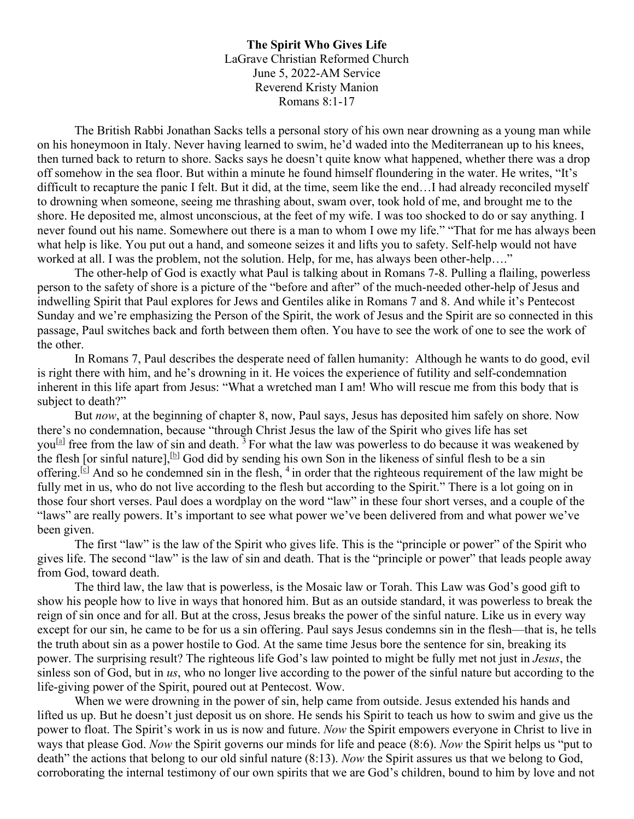**The Spirit Who Gives Life** LaGrave Christian Reformed Church June 5, 2022-AM Service Reverend Kristy Manion Romans 8:1-17

The British Rabbi Jonathan Sacks tells a personal story of his own near drowning as a young man while on his honeymoon in Italy. Never having learned to swim, he'd waded into the Mediterranean up to his knees, then turned back to return to shore. Sacks says he doesn't quite know what happened, whether there was a drop off somehow in the sea floor. But within a minute he found himself floundering in the water. He writes, "It's difficult to recapture the panic I felt. But it did, at the time, seem like the end…I had already reconciled myself to drowning when someone, seeing me thrashing about, swam over, took hold of me, and brought me to the shore. He deposited me, almost unconscious, at the feet of my wife. I was too shocked to do or say anything. I never found out his name. Somewhere out there is a man to whom I owe my life." "That for me has always been what help is like. You put out a hand, and someone seizes it and lifts you to safety. Self-help would not have worked at all. I was the problem, not the solution. Help, for me, has always been other-help…."

The other-help of God is exactly what Paul is talking about in Romans 7-8. Pulling a flailing, powerless person to the safety of shore is a picture of the "before and after" of the much-needed other-help of Jesus and indwelling Spirit that Paul explores for Jews and Gentiles alike in Romans 7 and 8. And while it's Pentecost Sunday and we're emphasizing the Person of the Spirit, the work of Jesus and the Spirit are so connected in this passage, Paul switches back and forth between them often. You have to see the work of one to see the work of the other.

In Romans 7, Paul describes the desperate need of fallen humanity: Although he wants to do good, evil is right there with him, and he's drowning in it. He voices the experience of futility and self-condemnation inherent in this life apart from Jesus: "What a wretched man I am! Who will rescue me from this body that is subject to death?"

But *now*, at the beginning of chapter 8, now, Paul says, Jesus has deposited him safely on shore. Now there's no condemnation, because "through Christ Jesus the law of the Spirit who gives life has set you<sup>[a]</sup> free from the law of sin and death. <sup>3</sup> For what the law was powerless to do because it was weakened by the flesh [or sinful nature],  $\left[\frac{b}{c}\right]$  God did by sending his own Son in the likeness of sinful flesh to be a sin offering.<sup>[c]</sup> And so he condemned sin in the flesh,  $4$  in order that the righteous requirement of the law might be fully met in us, who do not live according to the flesh but according to the Spirit." There is a lot going on in those four short verses. Paul does a wordplay on the word "law" in these four short verses, and a couple of the "laws" are really powers. It's important to see what power we've been delivered from and what power we've been given.

The first "law" is the law of the Spirit who gives life. This is the "principle or power" of the Spirit who gives life. The second "law" is the law of sin and death. That is the "principle or power" that leads people away from God, toward death.

The third law, the law that is powerless, is the Mosaic law or Torah. This Law was God's good gift to show his people how to live in ways that honored him. But as an outside standard, it was powerless to break the reign of sin once and for all. But at the cross, Jesus breaks the power of the sinful nature. Like us in every way except for our sin, he came to be for us a sin offering. Paul says Jesus condemns sin in the flesh—that is, he tells the truth about sin as a power hostile to God. At the same time Jesus bore the sentence for sin, breaking its power. The surprising result? The righteous life God's law pointed to might be fully met not just in *Jesus*, the sinless son of God, but in *us*, who no longer live according to the power of the sinful nature but according to the life-giving power of the Spirit, poured out at Pentecost. Wow.

When we were drowning in the power of sin, help came from outside. Jesus extended his hands and lifted us up. But he doesn't just deposit us on shore. He sends his Spirit to teach us how to swim and give us the power to float. The Spirit's work in us is now and future. *Now* the Spirit empowers everyone in Christ to live in ways that please God. *Now* the Spirit governs our minds for life and peace (8:6). *Now* the Spirit helps us "put to death" the actions that belong to our old sinful nature (8:13). *Now* the Spirit assures us that we belong to God, corroborating the internal testimony of our own spirits that we are God's children, bound to him by love and not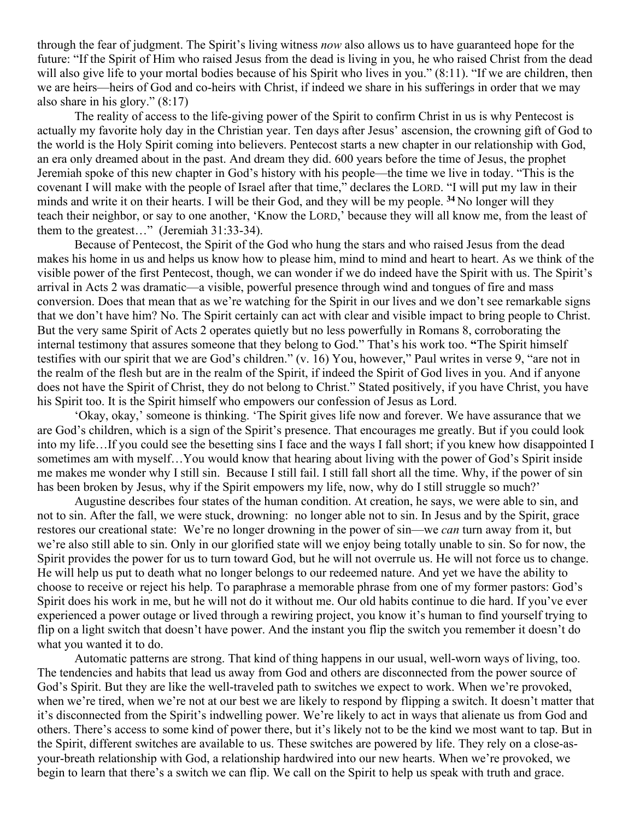through the fear of judgment. The Spirit's living witness *now* also allows us to have guaranteed hope for the future: "If the Spirit of Him who raised Jesus from the dead is living in you, he who raised Christ from the dead will also give life to your mortal bodies because of his Spirit who lives in you." (8:11). "If we are children, then we are heirs—heirs of God and co-heirs with Christ, if indeed we share in his sufferings in order that we may also share in his glory." (8:17)

The reality of access to the life-giving power of the Spirit to confirm Christ in us is why Pentecost is actually my favorite holy day in the Christian year. Ten days after Jesus' ascension, the crowning gift of God to the world is the Holy Spirit coming into believers. Pentecost starts a new chapter in our relationship with God, an era only dreamed about in the past. And dream they did. 600 years before the time of Jesus, the prophet Jeremiah spoke of this new chapter in God's history with his people—the time we live in today. "This is the covenant I will make with the people of Israel after that time," declares the LORD. "I will put my law in their minds and write it on their hearts. I will be their God, and they will be my people. **<sup>34</sup>** No longer will they teach their neighbor, or say to one another, 'Know the LORD,' because they will all know me, from the least of them to the greatest…" (Jeremiah 31:33-34).

Because of Pentecost, the Spirit of the God who hung the stars and who raised Jesus from the dead makes his home in us and helps us know how to please him, mind to mind and heart to heart. As we think of the visible power of the first Pentecost, though, we can wonder if we do indeed have the Spirit with us. The Spirit's arrival in Acts 2 was dramatic—a visible, powerful presence through wind and tongues of fire and mass conversion. Does that mean that as we're watching for the Spirit in our lives and we don't see remarkable signs that we don't have him? No. The Spirit certainly can act with clear and visible impact to bring people to Christ. But the very same Spirit of Acts 2 operates quietly but no less powerfully in Romans 8, corroborating the internal testimony that assures someone that they belong to God." That's his work too. **"**The Spirit himself testifies with our spirit that we are God's children." (v. 16) You, however," Paul writes in verse 9, "are not in the realm of the flesh but are in the realm of the Spirit, if indeed the Spirit of God lives in you. And if anyone does not have the Spirit of Christ, they do not belong to Christ." Stated positively, if you have Christ, you have his Spirit too. It is the Spirit himself who empowers our confession of Jesus as Lord.

'Okay, okay,' someone is thinking. 'The Spirit gives life now and forever. We have assurance that we are God's children, which is a sign of the Spirit's presence. That encourages me greatly. But if you could look into my life…If you could see the besetting sins I face and the ways I fall short; if you knew how disappointed I sometimes am with myself…You would know that hearing about living with the power of God's Spirit inside me makes me wonder why I still sin. Because I still fail. I still fall short all the time. Why, if the power of sin has been broken by Jesus, why if the Spirit empowers my life, now, why do I still struggle so much?'

Augustine describes four states of the human condition. At creation, he says, we were able to sin, and not to sin. After the fall, we were stuck, drowning: no longer able not to sin. In Jesus and by the Spirit, grace restores our creational state: We're no longer drowning in the power of sin—we *can* turn away from it, but we're also still able to sin. Only in our glorified state will we enjoy being totally unable to sin. So for now, the Spirit provides the power for us to turn toward God, but he will not overrule us. He will not force us to change. He will help us put to death what no longer belongs to our redeemed nature. And yet we have the ability to choose to receive or reject his help. To paraphrase a memorable phrase from one of my former pastors: God's Spirit does his work in me, but he will not do it without me. Our old habits continue to die hard. If you've ever experienced a power outage or lived through a rewiring project, you know it's human to find yourself trying to flip on a light switch that doesn't have power. And the instant you flip the switch you remember it doesn't do what you wanted it to do.

Automatic patterns are strong. That kind of thing happens in our usual, well-worn ways of living, too. The tendencies and habits that lead us away from God and others are disconnected from the power source of God's Spirit. But they are like the well-traveled path to switches we expect to work. When we're provoked, when we're tired, when we're not at our best we are likely to respond by flipping a switch. It doesn't matter that it's disconnected from the Spirit's indwelling power. We're likely to act in ways that alienate us from God and others. There's access to some kind of power there, but it's likely not to be the kind we most want to tap. But in the Spirit, different switches are available to us. These switches are powered by life. They rely on a close-asyour-breath relationship with God, a relationship hardwired into our new hearts. When we're provoked, we begin to learn that there's a switch we can flip. We call on the Spirit to help us speak with truth and grace.